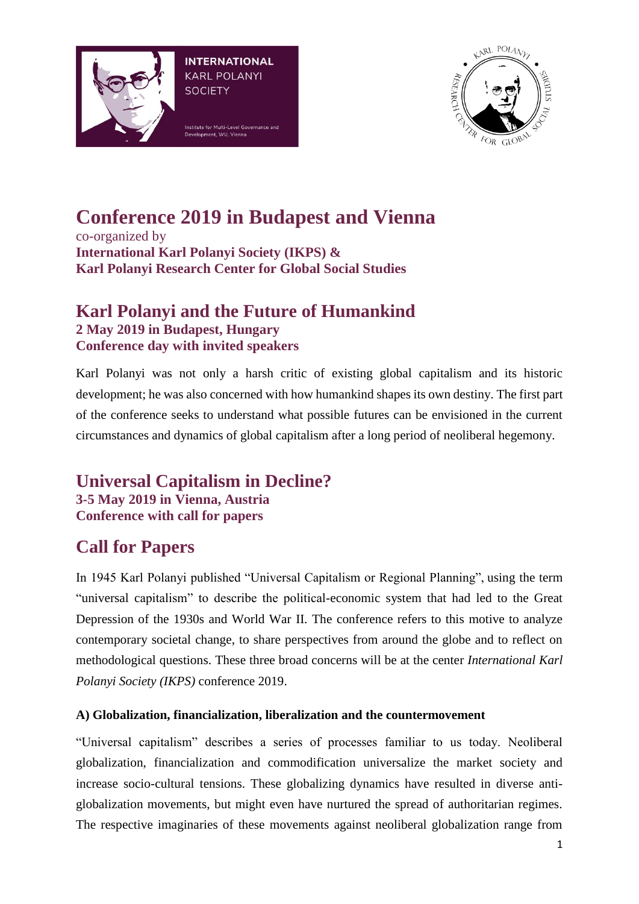



# **Conference 2019 in Budapest and Vienna**

co-organized by **International Karl Polanyi Society (IKPS) & Karl Polanyi Research Center for Global Social Studies**

## **Karl Polanyi and the Future of Humankind 2 May 2019 in Budapest, Hungary Conference day with invited speakers**

Karl Polanyi was not only a harsh critic of existing global capitalism and its historic development; he was also concerned with how humankind shapes its own destiny. The first part of the conference seeks to understand what possible futures can be envisioned in the current circumstances and dynamics of global capitalism after a long period of neoliberal hegemony.

**Universal Capitalism in Decline? 3-5 May 2019 in Vienna, Austria Conference with call for papers**

## **Call for Papers**

In 1945 Karl Polanyi published "Universal Capitalism or Regional Planning", using the term "universal capitalism" to describe the political-economic system that had led to the Great Depression of the 1930s and World War II. The conference refers to this motive to analyze contemporary societal change, to share perspectives from around the globe and to reflect on methodological questions. These three broad concerns will be at the center *International Karl Polanyi Society (IKPS)* conference 2019.

#### **A) Globalization, financialization, liberalization and the countermovement**

"Universal capitalism" describes a series of processes familiar to us today. Neoliberal globalization, financialization and commodification universalize the market society and increase socio-cultural tensions. These globalizing dynamics have resulted in diverse antiglobalization movements, but might even have nurtured the spread of authoritarian regimes. The respective imaginaries of these movements against neoliberal globalization range from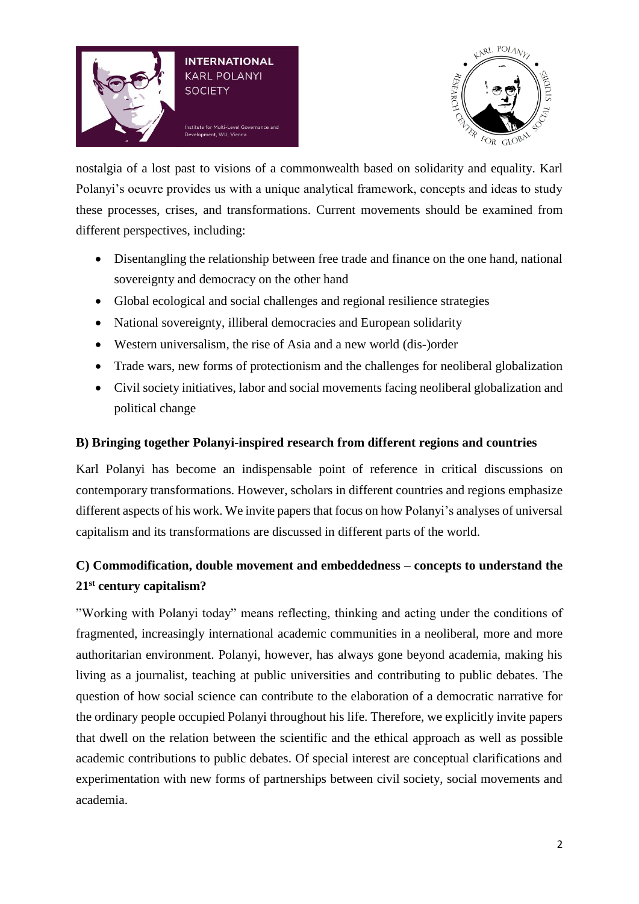



nostalgia of a lost past to visions of a commonwealth based on solidarity and equality. Karl Polanyi's oeuvre provides us with a unique analytical framework, concepts and ideas to study these processes, crises, and transformations. Current movements should be examined from different perspectives, including:

- Disentangling the relationship between free trade and finance on the one hand, national sovereignty and democracy on the other hand
- Global ecological and social challenges and regional resilience strategies
- National sovereignty, illiberal democracies and European solidarity
- Western universalism, the rise of Asia and a new world (dis-)order
- Trade wars, new forms of protectionism and the challenges for neoliberal globalization
- Civil society initiatives, labor and social movements facing neoliberal globalization and political change

#### **B) Bringing together Polanyi-inspired research from different regions and countries**

Karl Polanyi has become an indispensable point of reference in critical discussions on contemporary transformations. However, scholars in different countries and regions emphasize different aspects of his work. We invite papers that focus on how Polanyi's analyses of universal capitalism and its transformations are discussed in different parts of the world.

## **C) Commodification, double movement and embeddedness – concepts to understand the 21st century capitalism?**

"Working with Polanyi today" means reflecting, thinking and acting under the conditions of fragmented, increasingly international academic communities in a neoliberal, more and more authoritarian environment. Polanyi, however, has always gone beyond academia, making his living as a journalist, teaching at public universities and contributing to public debates. The question of how social science can contribute to the elaboration of a democratic narrative for the ordinary people occupied Polanyi throughout his life. Therefore, we explicitly invite papers that dwell on the relation between the scientific and the ethical approach as well as possible academic contributions to public debates. Of special interest are conceptual clarifications and experimentation with new forms of partnerships between civil society, social movements and academia.